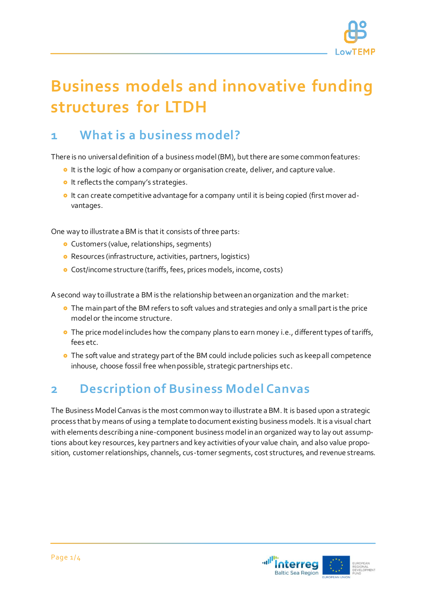

# **Business models and innovative funding structures for LTDH**

## **1 What is a business model?**

There is no universal definition of a business model (BM), but there are some common features:

- **It is the logic of how a company or organisation create, deliver, and capture value.**
- **It reflects the company's strategies.**
- o It can create competitive advantage for a company until it is being copied (first mover advantages.

One way to illustrate a BM is that it consists of three parts:

- **o** Customers (value, relationships, segments)
- Resources (infrastructure, activities, partners, logistics)
- Cost/income structure (tariffs, fees, prices models, income, costs)

A second way to illustrate a BM is the relationship between an organization and the market:

- **•** The main part of the BM refers to soft values and strategies and only a small part is the price model or the income structure.
- **•** The price model includes how the company plans to earn money i.e., different types of tariffs, fees etc.
- **o** The soft value and strategy part of the BM could include policies such as keep all competence inhouse, choose fossil free when possible, strategic partnerships etc.

# **2 Description of Business Model Canvas**

The Business Model Canvas is the most common way to illustrate a BM. It is based upon a strategic process that by means of using a template to document existing business models. It is a visual chart with elements describing a nine-component business model in an organized way to lay out assumptions about key resources, key partners and key activities of your value chain, and also value proposition, customer relationships, channels, cus-tomer segments, cost structures, and revenue streams.

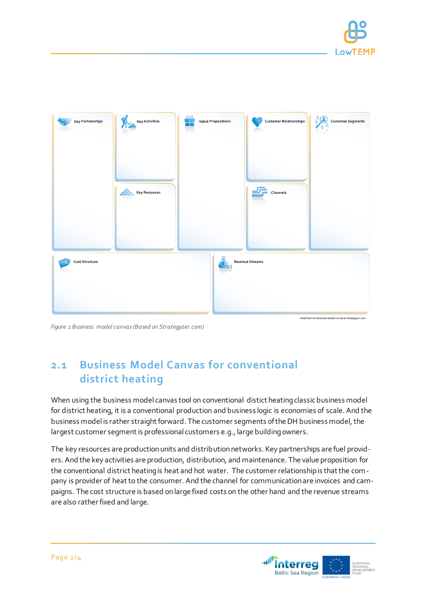



*Figure 1 Business model canvas(Based on Strategyzer.com)*

### **2.1 Business Model Canvas for conventional district heating**

When using the business model canvas tool on conventional distict heating classic business model for district heating, it is a conventional production and business logic is economies of scale. And the business model is rather straight forward. The customer segments of the DH business model, the largest customer segment is professional customers e.g., large building owners.

The key resources are production units and distribution networks. Key partnerships are fuel providers. And the key activities are production, distribution, and maintenance. The value proposition for the conventional district heating is heat and hot water. The customer relationship is that the company is provider of heat to the consumer. And the channel for communication are invoices and campaigns. The cost structure is based onlarge fixed costs on the other hand and the revenue streams are also rather fixed and large.

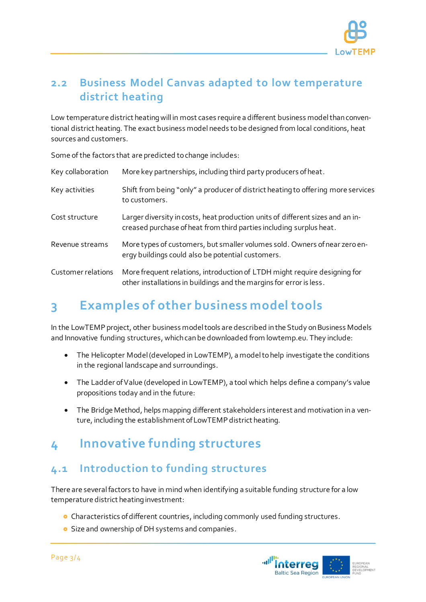

#### **2.2 Business Model Canvas adapted to low temperature district heating**

Low temperature district heating will in most cases require a different business model than conventional district heating. The exact business model needs to be designed from local conditions, heat sources and customers.

Some of the factors that are predicted to change includes:

| Key collaboration  | More key partnerships, including third party producers of heat.                                                                                       |
|--------------------|-------------------------------------------------------------------------------------------------------------------------------------------------------|
| Key activities     | Shift from being "only" a producer of district heating to offering more services<br>to customers.                                                     |
| Cost structure     | Larger diversity in costs, heat production units of different sizes and an in-<br>creased purchase of heat from third parties including surplus heat. |
| Revenue streams    | More types of customers, but smaller volumes sold. Owners of near zero en-<br>ergy buildings could also be potential customers.                       |
| Customer relations | More frequent relations, introduction of LTDH might require designing for<br>other installations in buildings and the margins for error is less.      |

# **3 Examples of other business model tools**

In the LowTEMP project, other business model tools are described in the Study on Business Models and Innovative funding structures, which can be downloaded from lowtemp.eu. They include:

- The Helicopter Model (developed in LowTEMP), a model to help investigate the conditions in the regional landscape and surroundings.
- The Ladder of Value (developed in LowTEMP), a tool which helps define a company's value propositions today and in the future:
- The Bridge Method, helps mapping different stakeholders interest and motivation in a venture, including the establishment of LowTEMP district heating.

## **4 Innovative funding structures**

#### **4.1 Introduction to funding structures**

There are several factors to have in mind when identifying a suitable funding structure for a low temperature district heating investment:

- **•** Characteristics of different countries, including commonly used funding structures.
- **o** Size and ownership of DH systems and companies.